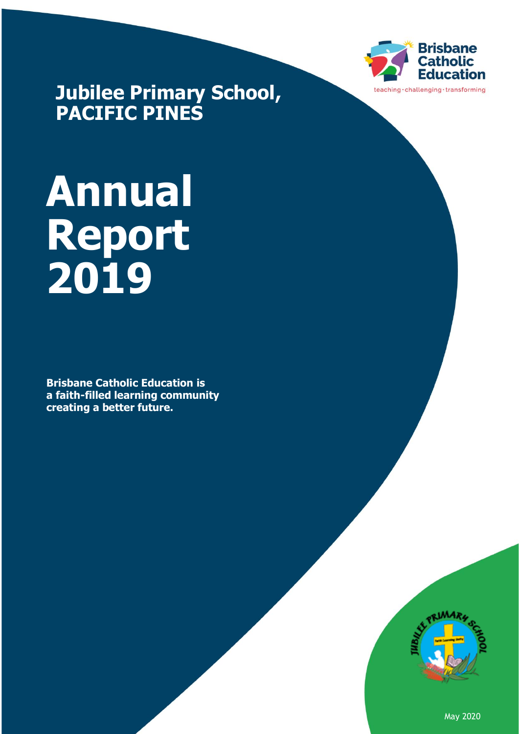

**Jubilee Primary School, PACIFIC PINES**

# **Annual Report 2019**

**Brisbane Catholic Education is a faith-filled learning community creating a better future.**



May 2020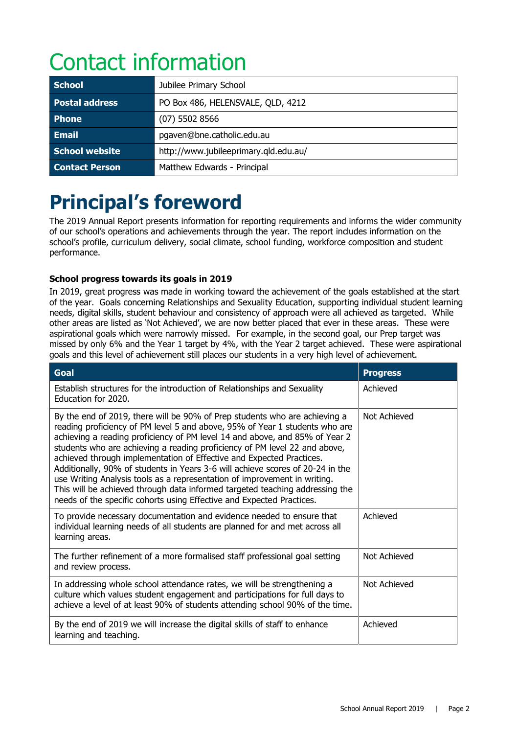# Contact information

| <b>School</b>         | Jubilee Primary School                |  |
|-----------------------|---------------------------------------|--|
| <b>Postal address</b> | PO Box 486, HELENSVALE, QLD, 4212     |  |
| <b>Phone</b>          | $(07)$ 5502 8566                      |  |
| <b>Email</b>          | pgaven@bne.catholic.edu.au            |  |
| School website        | http://www.jubileeprimary.qld.edu.au/ |  |
| <b>Contact Person</b> | Matthew Edwards - Principal           |  |

# **Principal's foreword**

The 2019 Annual Report presents information for reporting requirements and informs the wider community of our school's operations and achievements through the year. The report includes information on the school's profile, curriculum delivery, social climate, school funding, workforce composition and student performance.

#### **School progress towards its goals in 2019**

In 2019, great progress was made in working toward the achievement of the goals established at the start of the year. Goals concerning Relationships and Sexuality Education, supporting individual student learning needs, digital skills, student behaviour and consistency of approach were all achieved as targeted. While other areas are listed as 'Not Achieved', we are now better placed that ever in these areas. These were aspirational goals which were narrowly missed. For example, in the second goal, our Prep target was missed by only 6% and the Year 1 target by 4%, with the Year 2 target achieved. These were aspirational goals and this level of achievement still places our students in a very high level of achievement.

| <b>Goal</b>                                                                                                                                                                                                                                                                                                                                                                                                                                                                                                                                                                                                                                                                                                            | <b>Progress</b> |
|------------------------------------------------------------------------------------------------------------------------------------------------------------------------------------------------------------------------------------------------------------------------------------------------------------------------------------------------------------------------------------------------------------------------------------------------------------------------------------------------------------------------------------------------------------------------------------------------------------------------------------------------------------------------------------------------------------------------|-----------------|
| Establish structures for the introduction of Relationships and Sexuality<br>Education for 2020.                                                                                                                                                                                                                                                                                                                                                                                                                                                                                                                                                                                                                        | Achieved        |
| By the end of 2019, there will be 90% of Prep students who are achieving a<br>reading proficiency of PM level 5 and above, 95% of Year 1 students who are<br>achieving a reading proficiency of PM level 14 and above, and 85% of Year 2<br>students who are achieving a reading proficiency of PM level 22 and above,<br>achieved through implementation of Effective and Expected Practices.<br>Additionally, 90% of students in Years 3-6 will achieve scores of 20-24 in the<br>use Writing Analysis tools as a representation of improvement in writing.<br>This will be achieved through data informed targeted teaching addressing the<br>needs of the specific cohorts using Effective and Expected Practices. | Not Achieved    |
| To provide necessary documentation and evidence needed to ensure that<br>individual learning needs of all students are planned for and met across all<br>learning areas.                                                                                                                                                                                                                                                                                                                                                                                                                                                                                                                                               | Achieved        |
| The further refinement of a more formalised staff professional goal setting<br>and review process.                                                                                                                                                                                                                                                                                                                                                                                                                                                                                                                                                                                                                     | Not Achieved    |
| In addressing whole school attendance rates, we will be strengthening a<br>culture which values student engagement and participations for full days to<br>achieve a level of at least 90% of students attending school 90% of the time.                                                                                                                                                                                                                                                                                                                                                                                                                                                                                | Not Achieved    |
| By the end of 2019 we will increase the digital skills of staff to enhance<br>learning and teaching.                                                                                                                                                                                                                                                                                                                                                                                                                                                                                                                                                                                                                   | Achieved        |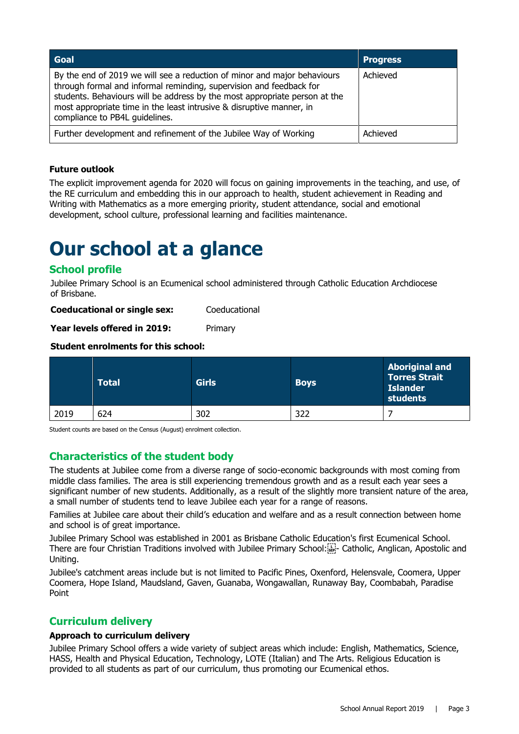| Goal                                                                                                                                                                                                                                                                                                                                    | <b>Progress</b> |
|-----------------------------------------------------------------------------------------------------------------------------------------------------------------------------------------------------------------------------------------------------------------------------------------------------------------------------------------|-----------------|
| By the end of 2019 we will see a reduction of minor and major behaviours<br>through formal and informal reminding, supervision and feedback for<br>students. Behaviours will be address by the most appropriate person at the<br>most appropriate time in the least intrusive & disruptive manner, in<br>compliance to PB4L guidelines. | Achieved        |
| Further development and refinement of the Jubilee Way of Working                                                                                                                                                                                                                                                                        | Achieved        |

#### **Future outlook**

The explicit improvement agenda for 2020 will focus on gaining improvements in the teaching, and use, of the RE curriculum and embedding this in our approach to health, student achievement in Reading and Writing with Mathematics as a more emerging priority, student attendance, social and emotional development, school culture, professional learning and facilities maintenance.

### **Our school at a glance**

#### **School profile**

Jubilee Primary School is an Ecumenical school administered through Catholic Education Archdiocese of Brisbane.

**Coeducational or single sex:** Coeducational

**Year levels offered in 2019:** Primary

#### **Student enrolments for this school:**

|      | Total | <b>Girls</b> | <b>Boys</b> | <b>Aboriginal and</b><br><b>Torres Strait</b><br><b>Islander</b><br>students |
|------|-------|--------------|-------------|------------------------------------------------------------------------------|
| 2019 | 624   | 302          | 322         |                                                                              |

Student counts are based on the Census (August) enrolment collection.

#### **Characteristics of the student body**

The students at Jubilee come from a diverse range of socio-economic backgrounds with most coming from middle class families. The area is still experiencing tremendous growth and as a result each year sees a significant number of new students. Additionally, as a result of the slightly more transient nature of the area, a small number of students tend to leave Jubilee each year for a range of reasons.

Families at Jubilee care about their child's education and welfare and as a result connection between home and school is of great importance.

Jubilee Primary School was established in 2001 as Brisbane Catholic Education's first Ecumenical School. There are four Christian Traditions involved with Jubilee Primary School: - Catholic, Anglican, Apostolic and Uniting.

Jubilee's catchment areas include but is not limited to Pacific Pines, Oxenford, Helensvale, Coomera, Upper Coomera, Hope Island, Maudsland, Gaven, Guanaba, Wongawallan, Runaway Bay, Coombabah, Paradise Point

#### **Curriculum delivery**

#### **Approach to curriculum delivery**

Jubilee Primary School offers a wide variety of subject areas which include: English, Mathematics, Science, HASS, Health and Physical Education, Technology, LOTE (Italian) and The Arts. Religious Education is provided to all students as part of our curriculum, thus promoting our Ecumenical ethos.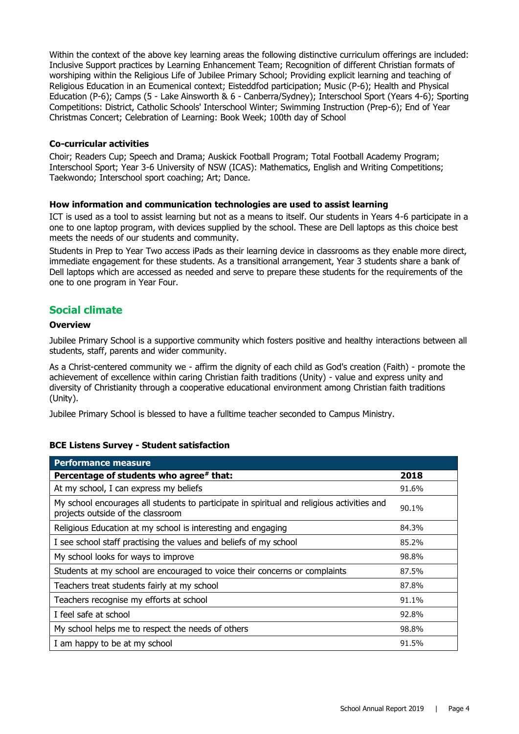Within the context of the above key learning areas the following distinctive curriculum offerings are included: Inclusive Support practices by Learning Enhancement Team; Recognition of different Christian formats of worshiping within the Religious Life of Jubilee Primary School; Providing explicit learning and teaching of Religious Education in an Ecumenical context; Eisteddfod participation; Music (P-6); Health and Physical Education (P-6); Camps (5 - Lake Ainsworth & 6 - Canberra/Sydney); Interschool Sport (Years 4-6); Sporting Competitions: District, Catholic Schools' Interschool Winter; Swimming Instruction (Prep-6); End of Year Christmas Concert; Celebration of Learning: Book Week; 100th day of School

#### **Co-curricular activities**

Choir; Readers Cup; Speech and Drama; Auskick Football Program; Total Football Academy Program; Interschool Sport; Year 3-6 University of NSW (ICAS): Mathematics, English and Writing Competitions; Taekwondo; Interschool sport coaching; Art; Dance.

#### **How information and communication technologies are used to assist learning**

ICT is used as a tool to assist learning but not as a means to itself. Our students in Years 4-6 participate in a one to one laptop program, with devices supplied by the school. These are Dell laptops as this choice best meets the needs of our students and community.

Students in Prep to Year Two access iPads as their learning device in classrooms as they enable more direct, immediate engagement for these students. As a transitional arrangement, Year 3 students share a bank of Dell laptops which are accessed as needed and serve to prepare these students for the requirements of the one to one program in Year Four.

#### **Social climate**

#### **Overview**

Jubilee Primary School is a supportive community which fosters positive and healthy interactions between all students, staff, parents and wider community.

As a Christ-centered community we - affirm the dignity of each child as God's creation (Faith) - promote the achievement of excellence within caring Christian faith traditions (Unity) - value and express unity and diversity of Christianity through a cooperative educational environment among Christian faith traditions (Unity).

Jubilee Primary School is blessed to have a fulltime teacher seconded to Campus Ministry.

#### **BCE Listens Survey - Student satisfaction**

| <b>Performance measure</b>                                                                                                      |       |
|---------------------------------------------------------------------------------------------------------------------------------|-------|
| Percentage of students who agree* that:                                                                                         | 2018  |
| At my school, I can express my beliefs                                                                                          | 91.6% |
| My school encourages all students to participate in spiritual and religious activities and<br>projects outside of the classroom | 90.1% |
| Religious Education at my school is interesting and engaging                                                                    | 84.3% |
| I see school staff practising the values and beliefs of my school                                                               | 85.2% |
| My school looks for ways to improve                                                                                             | 98.8% |
| Students at my school are encouraged to voice their concerns or complaints                                                      | 87.5% |
| Teachers treat students fairly at my school                                                                                     | 87.8% |
| Teachers recognise my efforts at school                                                                                         | 91.1% |
| I feel safe at school                                                                                                           | 92.8% |
| My school helps me to respect the needs of others                                                                               | 98.8% |
| I am happy to be at my school                                                                                                   | 91.5% |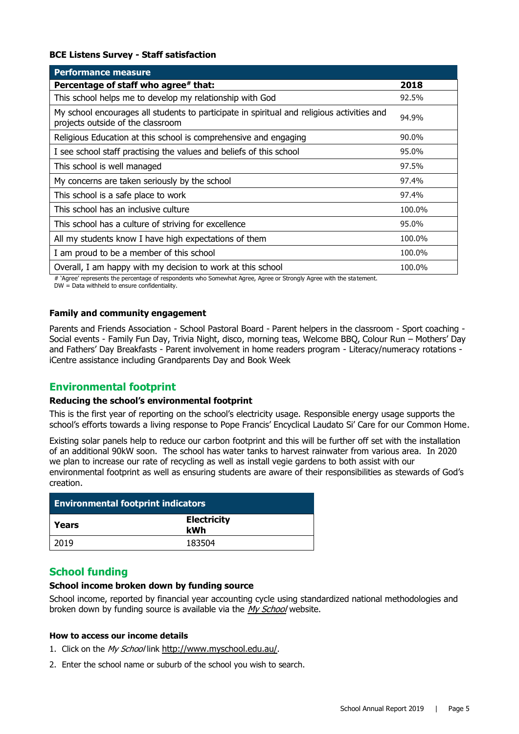#### **BCE Listens Survey - Staff satisfaction**

| <b>Performance measure</b>                                                                                                      |        |
|---------------------------------------------------------------------------------------------------------------------------------|--------|
| Percentage of staff who agree# that:                                                                                            | 2018   |
| This school helps me to develop my relationship with God                                                                        | 92.5%  |
| My school encourages all students to participate in spiritual and religious activities and<br>projects outside of the classroom | 94.9%  |
| Religious Education at this school is comprehensive and engaging                                                                | 90.0%  |
| I see school staff practising the values and beliefs of this school                                                             | 95.0%  |
| This school is well managed                                                                                                     | 97.5%  |
| My concerns are taken seriously by the school                                                                                   | 97.4%  |
| This school is a safe place to work                                                                                             | 97.4%  |
| This school has an inclusive culture                                                                                            | 100.0% |
| This school has a culture of striving for excellence                                                                            | 95.0%  |
| All my students know I have high expectations of them                                                                           | 100.0% |
| I am proud to be a member of this school                                                                                        | 100.0% |
| Overall, I am happy with my decision to work at this school                                                                     | 100.0% |

# 'Agree' represents the percentage of respondents who Somewhat Agree, Agree or Strongly Agree with the statement.

DW = Data withheld to ensure confidentiality.

#### **Family and community engagement**

Parents and Friends Association - School Pastoral Board - Parent helpers in the classroom - Sport coaching - Social events - Family Fun Day, Trivia Night, disco, morning teas, Welcome BBQ, Colour Run – Mothers' Day and Fathers' Day Breakfasts - Parent involvement in home readers program - Literacy/numeracy rotations iCentre assistance including Grandparents Day and Book Week

#### **Environmental footprint**

#### **Reducing the school's environmental footprint**

This is the first year of reporting on the school's electricity usage. Responsible energy usage supports the school's efforts towards a living response to Pope Francis' Encyclical Laudato Si' Care for our Common Home.

Existing solar panels help to reduce our carbon footprint and this will be further off set with the installation of an additional 90kW soon. The school has water tanks to harvest rainwater from various area. In 2020 we plan to increase our rate of recycling as well as install vegie gardens to both assist with our environmental footprint as well as ensuring students are aware of their responsibilities as stewards of God's creation.

| <b>Environmental footprint indicators</b> |                           |  |
|-------------------------------------------|---------------------------|--|
| Years                                     | <b>Electricity</b><br>kWh |  |
| 2019                                      | 183504                    |  |

#### **School funding**

#### **School income broken down by funding source**

School income, reported by financial year accounting cycle using standardized national methodologies and broken down by funding source is available via the [My School](http://www.myschool.edu.au/) website.

#### **How to access our income details**

- 1. Click on the My School link <http://www.myschool.edu.au/>.
- 2. Enter the school name or suburb of the school you wish to search.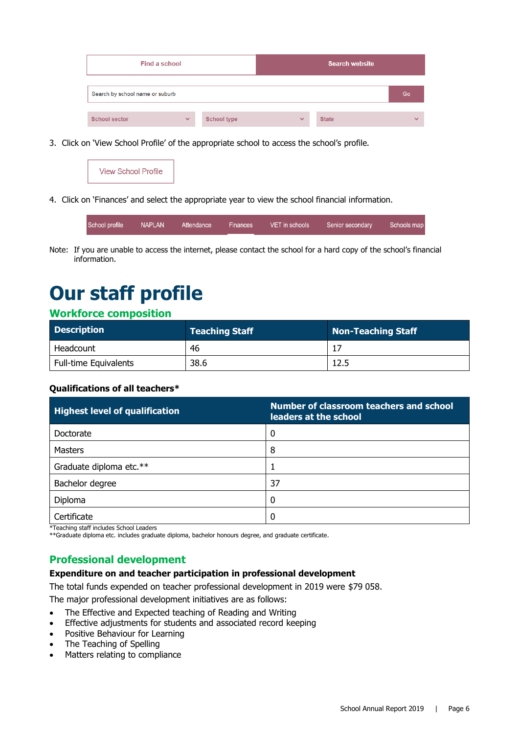| Find a school                   |              |                    | <b>Search website</b> |              |              |
|---------------------------------|--------------|--------------------|-----------------------|--------------|--------------|
| Search by school name or suburb |              |                    |                       |              | Go           |
| <b>School sector</b>            | $\checkmark$ | <b>School type</b> | $\checkmark$          | <b>State</b> | $\checkmark$ |

3. Click on 'View School Profile' of the appropriate school to access the school's profile.

|--|--|--|

4. Click on 'Finances' and select the appropriate year to view the school financial information.

| School profile NAPLAN<br><b>VET</b> in schools<br>Senior secondary<br>Attendance Finances | Schools map |
|-------------------------------------------------------------------------------------------|-------------|
|-------------------------------------------------------------------------------------------|-------------|

Note: If you are unable to access the internet, please contact the school for a hard copy of the school's financial information.

# **Our staff profile**

#### **Workforce composition**

| <b>Description</b>           | <b>Teaching Staff</b> | Non-Teaching Staff |
|------------------------------|-----------------------|--------------------|
| Headcount                    | -46                   |                    |
| <b>Full-time Equivalents</b> | 38.6                  | 12.5               |

#### **Qualifications of all teachers\***

| <b>Highest level of qualification</b> | Number of classroom teachers and school<br>leaders at the school |
|---------------------------------------|------------------------------------------------------------------|
| Doctorate                             | 0                                                                |
| <b>Masters</b>                        | 8                                                                |
| Graduate diploma etc.**               |                                                                  |
| Bachelor degree                       | 37                                                               |
| Diploma                               | 0                                                                |
| Certificate                           | 0                                                                |

\*Teaching staff includes School Leaders

\*\*Graduate diploma etc. includes graduate diploma, bachelor honours degree, and graduate certificate.

#### **Professional development**

#### **Expenditure on and teacher participation in professional development**

The total funds expended on teacher professional development in 2019 were \$79 058.

The major professional development initiatives are as follows:

- The Effective and Expected teaching of Reading and Writing
- Effective adjustments for students and associated record keeping
- Positive Behaviour for Learning
- The Teaching of Spelling
- Matters relating to compliance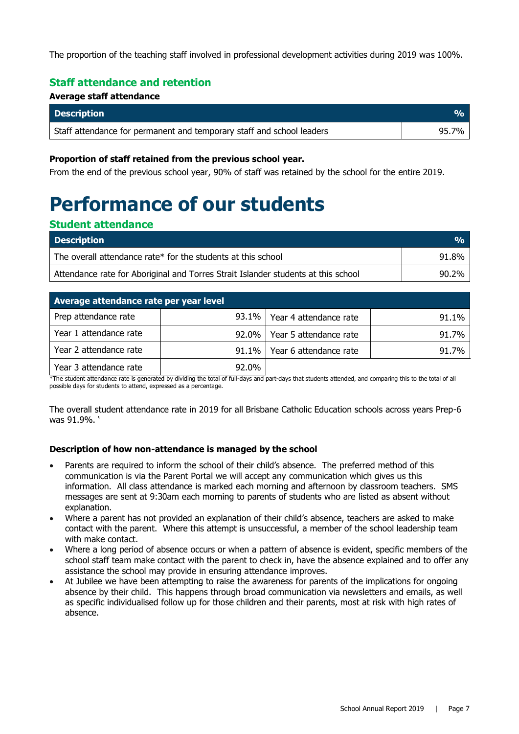The proportion of the teaching staff involved in professional development activities during 2019 was 100%.

#### **Staff attendance and retention**

#### **Average staff attendance**

| <b>Description</b>                                                    |       |
|-----------------------------------------------------------------------|-------|
| Staff attendance for permanent and temporary staff and school leaders | 95.7% |

#### **Proportion of staff retained from the previous school year.**

From the end of the previous school year, 90% of staff was retained by the school for the entire 2019.

# **Performance of our students**

#### **Student attendance**

| <b>Description</b>                                                                | $\mathbf{Q}_0$ |
|-----------------------------------------------------------------------------------|----------------|
| The overall attendance rate* for the students at this school                      | 91.8%          |
| Attendance rate for Aboriginal and Torres Strait Islander students at this school | 90.2%          |

| Average attendance rate per year level |          |                        |       |  |  |  |  |
|----------------------------------------|----------|------------------------|-------|--|--|--|--|
| Prep attendance rate                   | $93.1\%$ | Year 4 attendance rate | 91.1% |  |  |  |  |
| Year 1 attendance rate                 | $92.0\%$ | Year 5 attendance rate | 91.7% |  |  |  |  |
| Year 2 attendance rate                 | $91.1\%$ | Year 6 attendance rate | 91.7% |  |  |  |  |
| Year 3 attendance rate                 | 92.0%    |                        |       |  |  |  |  |

\*The student attendance rate is generated by dividing the total of full-days and part-days that students attended, and comparing this to the total of all possible days for students to attend, expressed as a percentage.

The overall student attendance rate in 2019 for all Brisbane Catholic Education schools across years Prep-6 was 91.9%. '

#### **Description of how non-attendance is managed by the school**

- Parents are required to inform the school of their child's absence. The preferred method of this communication is via the Parent Portal we will accept any communication which gives us this information. All class attendance is marked each morning and afternoon by classroom teachers. SMS messages are sent at 9:30am each morning to parents of students who are listed as absent without explanation.
- Where a parent has not provided an explanation of their child's absence, teachers are asked to make contact with the parent. Where this attempt is unsuccessful, a member of the school leadership team with make contact.
- Where a long period of absence occurs or when a pattern of absence is evident, specific members of the school staff team make contact with the parent to check in, have the absence explained and to offer any assistance the school may provide in ensuring attendance improves.
- At Jubilee we have been attempting to raise the awareness for parents of the implications for ongoing absence by their child. This happens through broad communication via newsletters and emails, as well as specific individualised follow up for those children and their parents, most at risk with high rates of absence.